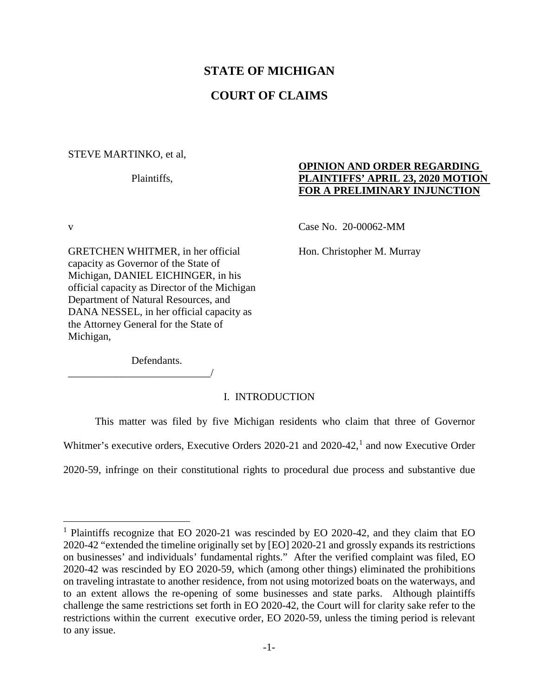# **STATE OF MICHIGAN**

## **COURT OF CLAIMS**

## STEVE MARTINKO, et al,

Plaintiffs,

## **OPINION AND ORDER REGARDING PLAINTIFFS' APRIL 23, 2020 MOTION FOR A PRELIMINARY INJUNCTION**

v Case No. 20-00062-MM

Hon. Christopher M. Murray

GRETCHEN WHITMER, in her official capacity as Governor of the State of Michigan, DANIEL EICHINGER, in his official capacity as Director of the Michigan Department of Natural Resources, and DANA NESSEL, in her official capacity as the Attorney General for the State of Michigan,

Defendants.

\_\_\_\_\_\_\_\_\_\_\_\_\_\_\_\_\_\_\_\_\_\_\_\_\_\_\_/

## I. INTRODUCTION

This matter was filed by five Michigan residents who claim that three of Governor

Whitmer's executive orders, Executive Orders 2020-2[1](#page-0-0) and 2020-42,<sup>1</sup> and now Executive Order

2020-59, infringe on their constitutional rights to procedural due process and substantive due

<span id="page-0-0"></span> <sup>1</sup> Plaintiffs recognize that EO 2020-21 was rescinded by EO 2020-42, and they claim that EO 2020-42 "extended the timeline originally set by [EO] 2020-21 and grossly expands its restrictions on businesses' and individuals' fundamental rights." After the verified complaint was filed, EO 2020-42 was rescinded by EO 2020-59, which (among other things) eliminated the prohibitions on traveling intrastate to another residence, from not using motorized boats on the waterways, and to an extent allows the re-opening of some businesses and state parks. Although plaintiffs challenge the same restrictions set forth in EO 2020-42, the Court will for clarity sake refer to the restrictions within the current executive order, EO 2020-59, unless the timing period is relevant to any issue.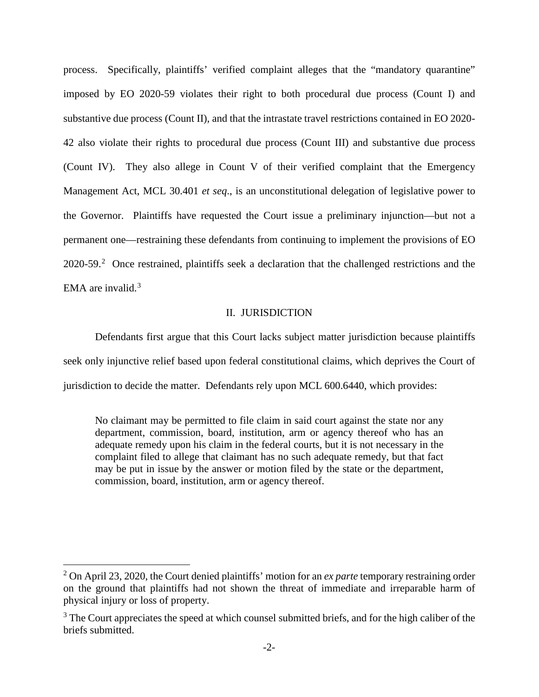process. Specifically, plaintiffs' verified complaint alleges that the "mandatory quarantine" imposed by EO 2020-59 violates their right to both procedural due process (Count I) and substantive due process (Count II), and that the intrastate travel restrictions contained in EO 2020- 42 also violate their rights to procedural due process (Count III) and substantive due process (Count IV). They also allege in Count V of their verified complaint that the Emergency Management Act, MCL 30.401 *et seq*., is an unconstitutional delegation of legislative power to the Governor. Plaintiffs have requested the Court issue a preliminary injunction—but not a permanent one—restraining these defendants from continuing to implement the provisions of EO  $2020-59$  $2020-59$ .<sup>2</sup> Once restrained, plaintiffs seek a declaration that the challenged restrictions and the EMA are invalid. $3$ 

### II. JURISDICTION

Defendants first argue that this Court lacks subject matter jurisdiction because plaintiffs seek only injunctive relief based upon federal constitutional claims, which deprives the Court of jurisdiction to decide the matter. Defendants rely upon MCL 600.6440, which provides:

No claimant may be permitted to file claim in said court against the state nor any department, commission, board, institution, arm or agency thereof who has an adequate remedy upon his claim in the federal courts, but it is not necessary in the complaint filed to allege that claimant has no such adequate remedy, but that fact may be put in issue by the answer or motion filed by the state or the department, commission, board, institution, arm or agency thereof.

<span id="page-1-0"></span> <sup>2</sup> On April 23, 2020, the Court denied plaintiffs' motion for an *ex parte* temporary restraining order on the ground that plaintiffs had not shown the threat of immediate and irreparable harm of physical injury or loss of property.

<span id="page-1-1"></span><sup>&</sup>lt;sup>3</sup> The Court appreciates the speed at which counsel submitted briefs, and for the high caliber of the briefs submitted.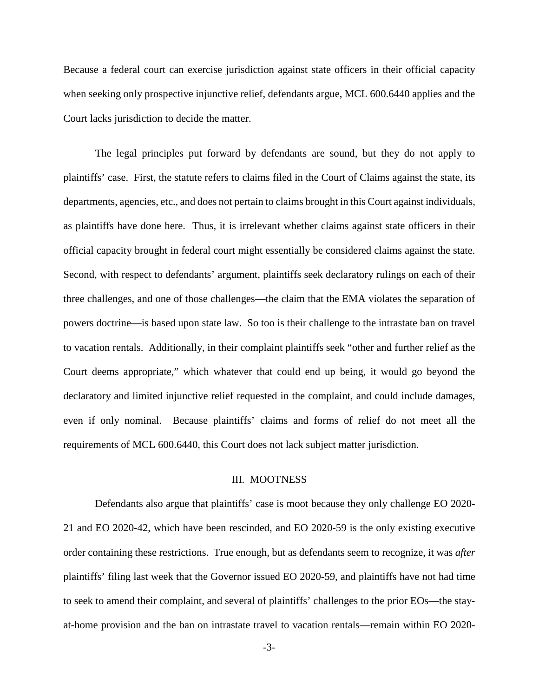Because a federal court can exercise jurisdiction against state officers in their official capacity when seeking only prospective injunctive relief, defendants argue, MCL 600.6440 applies and the Court lacks jurisdiction to decide the matter.

The legal principles put forward by defendants are sound, but they do not apply to plaintiffs' case. First, the statute refers to claims filed in the Court of Claims against the state, its departments, agencies, etc., and does not pertain to claims brought in this Court against individuals, as plaintiffs have done here. Thus, it is irrelevant whether claims against state officers in their official capacity brought in federal court might essentially be considered claims against the state. Second, with respect to defendants' argument, plaintiffs seek declaratory rulings on each of their three challenges, and one of those challenges—the claim that the EMA violates the separation of powers doctrine—is based upon state law. So too is their challenge to the intrastate ban on travel to vacation rentals. Additionally, in their complaint plaintiffs seek "other and further relief as the Court deems appropriate," which whatever that could end up being, it would go beyond the declaratory and limited injunctive relief requested in the complaint, and could include damages, even if only nominal. Because plaintiffs' claims and forms of relief do not meet all the requirements of MCL 600.6440, this Court does not lack subject matter jurisdiction.

## III. MOOTNESS

Defendants also argue that plaintiffs' case is moot because they only challenge EO 2020- 21 and EO 2020-42, which have been rescinded, and EO 2020-59 is the only existing executive order containing these restrictions. True enough, but as defendants seem to recognize, it was *after* plaintiffs' filing last week that the Governor issued EO 2020-59, and plaintiffs have not had time to seek to amend their complaint, and several of plaintiffs' challenges to the prior EOs—the stayat-home provision and the ban on intrastate travel to vacation rentals—remain within EO 2020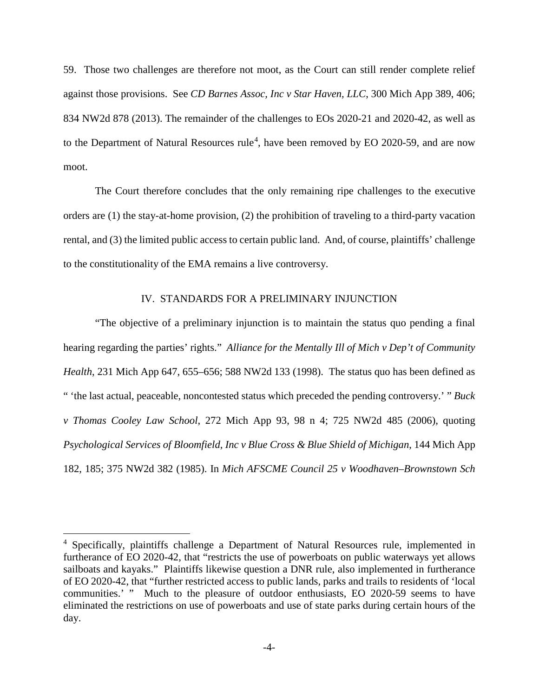59. Those two challenges are therefore not moot, as the Court can still render complete relief against those provisions. See *CD Barnes Assoc, Inc v Star Haven, LLC*, 300 Mich App 389, 406; 834 NW2d 878 (2013). The remainder of the challenges to EOs 2020-21 and 2020-42, as well as to the Department of Natural Resources rule<sup>[4](#page-3-0)</sup>, have been removed by EO 2020-59, and are now moot.

The Court therefore concludes that the only remaining ripe challenges to the executive orders are (1) the stay-at-home provision, (2) the prohibition of traveling to a third-party vacation rental, and (3) the limited public access to certain public land. And, of course, plaintiffs' challenge to the constitutionality of the EMA remains a live controversy.

#### IV. STANDARDS FOR A PRELIMINARY INJUNCTION

"The objective of a preliminary injunction is to maintain the status quo pending a final hearing regarding the parties' rights." *Alliance for the Mentally Ill of Mich v Dep't of Community Health*, 231 Mich App 647, 655–656; 588 NW2d 133 (1998). The status quo has been defined as " 'the last actual, peaceable, noncontested status which preceded the pending controversy.' " *Buck v Thomas Cooley Law School*, 272 Mich App 93, 98 n 4; 725 NW2d 485 (2006), quoting *Psychological Services of Bloomfield, Inc v Blue Cross & Blue Shield of Michigan*, 144 Mich App 182, 185; 375 NW2d 382 (1985). In *Mich AFSCME Council 25 v Woodhaven–Brownstown Sch* 

<span id="page-3-0"></span> <sup>4</sup> Specifically, plaintiffs challenge a Department of Natural Resources rule, implemented in furtherance of EO 2020-42, that "restricts the use of powerboats on public waterways yet allows sailboats and kayaks." Plaintiffs likewise question a DNR rule, also implemented in furtherance of EO 2020-42, that "further restricted access to public lands, parks and trails to residents of 'local communities.' " Much to the pleasure of outdoor enthusiasts, EO 2020-59 seems to have eliminated the restrictions on use of powerboats and use of state parks during certain hours of the day.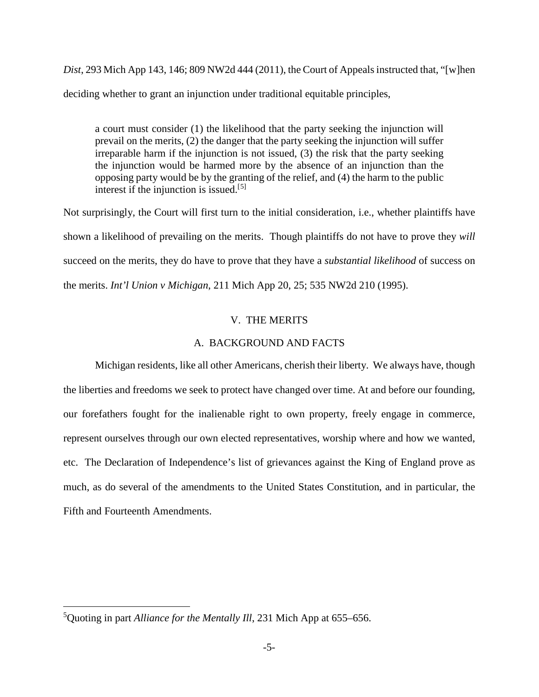*Dist*, 293 Mich App 143, 146; 809 NW2d 444 (2011), the Court of Appeals instructed that, "[w]hen deciding whether to grant an injunction under traditional equitable principles,

a court must consider (1) the likelihood that the party seeking the injunction will prevail on the merits, (2) the danger that the party seeking the injunction will suffer irreparable harm if the injunction is not issued, (3) the risk that the party seeking the injunction would be harmed more by the absence of an injunction than the opposing party would be by the granting of the relief, and (4) the harm to the public interest if the injunction is issued.<sup>[[5](#page-4-0)]</sup>

Not surprisingly, the Court will first turn to the initial consideration, i.e., whether plaintiffs have shown a likelihood of prevailing on the merits. Though plaintiffs do not have to prove they *will* succeed on the merits, they do have to prove that they have a *substantial likelihood* of success on the merits. *Int'l Union v Michigan*, 211 Mich App 20, 25; 535 NW2d 210 (1995).

## V. THE MERITS

### A. BACKGROUND AND FACTS

Michigan residents, like all other Americans, cherish their liberty. We always have, though the liberties and freedoms we seek to protect have changed over time. At and before our founding, our forefathers fought for the inalienable right to own property, freely engage in commerce, represent ourselves through our own elected representatives, worship where and how we wanted, etc. The Declaration of Independence's list of grievances against the King of England prove as much, as do several of the amendments to the United States Constitution, and in particular, the Fifth and Fourteenth Amendments.

<span id="page-4-0"></span> $\frac{1}{5}$ Quoting in part *Alliance for the Mentally Ill*, 231 Mich App at 655–656.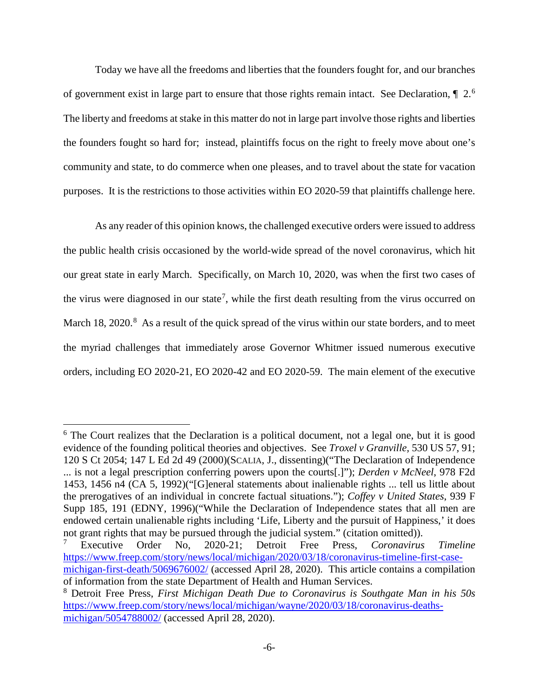Today we have all the freedoms and liberties that the founders fought for, and our branches of government exist in large part to ensure that those rights remain intact. See Declaration,  $\P$  2.<sup>[6](#page-5-0)</sup> The liberty and freedoms at stake in this matter do not in large part involve those rights and liberties the founders fought so hard for; instead, plaintiffs focus on the right to freely move about one's community and state, to do commerce when one pleases, and to travel about the state for vacation purposes. It is the restrictions to those activities within EO 2020-59 that plaintiffs challenge here.

As any reader of this opinion knows, the challenged executive orders were issued to address the public health crisis occasioned by the world-wide spread of the novel coronavirus, which hit our great state in early March. Specifically, on March 10, 2020, was when the first two cases of the virus were diagnosed in our state<sup>[7](#page-5-1)</sup>, while the first death resulting from the virus occurred on March 1[8](#page-5-2), 2020.<sup>8</sup> As a result of the quick spread of the virus within our state borders, and to meet the myriad challenges that immediately arose Governor Whitmer issued numerous executive orders, including EO 2020-21, EO 2020-42 and EO 2020-59. The main element of the executive

<span id="page-5-0"></span> $6$  The Court realizes that the Declaration is a political document, not a legal one, but it is good evidence of the founding political theories and objectives. See *Troxel v Granville,* 530 US 57, 91; 120 S Ct 2054; 147 L Ed 2d 49 (2000)(SCALIA, J., dissenting)("The Declaration of Independence ... is not a legal prescription conferring powers upon the courts[.]"); *Derden v McNeel*, 978 F2d 1453, 1456 n4 (CA 5, 1992)("[G]eneral statements about inalienable rights ... tell us little about the prerogatives of an individual in concrete factual situations."); *Coffey v United States*, 939 F Supp 185, 191 (EDNY, 1996)("While the Declaration of Independence states that all men are endowed certain unalienable rights including 'Life, Liberty and the pursuit of Happiness,' it does not grant rights that may be pursued through the judicial system." (citation omitted)).

<span id="page-5-1"></span><sup>7</sup> Executive Order No, 2020-21; Detroit Free Press, *Coronavirus Timeline* [https://www.freep.com/story/news/local/michigan/2020/03/18/coronavirus-timeline-first-case](https://www.freep.com/story/news/local/michigan/2020/03/18/coronavirus-timeline-first-case-michigan-first-death/5069676002/)[michigan-first-death/5069676002/](https://www.freep.com/story/news/local/michigan/2020/03/18/coronavirus-timeline-first-case-michigan-first-death/5069676002/) (accessed April 28, 2020). This article contains a compilation of information from the state Department of Health and Human Services.

<span id="page-5-2"></span><sup>8</sup> Detroit Free Press, *First Michigan Death Due to Coronavirus is Southgate Man in his 50s* [https://www.freep.com/story/news/local/michigan/wayne/2020/03/18/coronavirus-deaths](https://www.freep.com/story/news/local/michigan/wayne/2020/03/18/coronavirus-deaths-michigan/5054788002/)[michigan/5054788002/](https://www.freep.com/story/news/local/michigan/wayne/2020/03/18/coronavirus-deaths-michigan/5054788002/) (accessed April 28, 2020).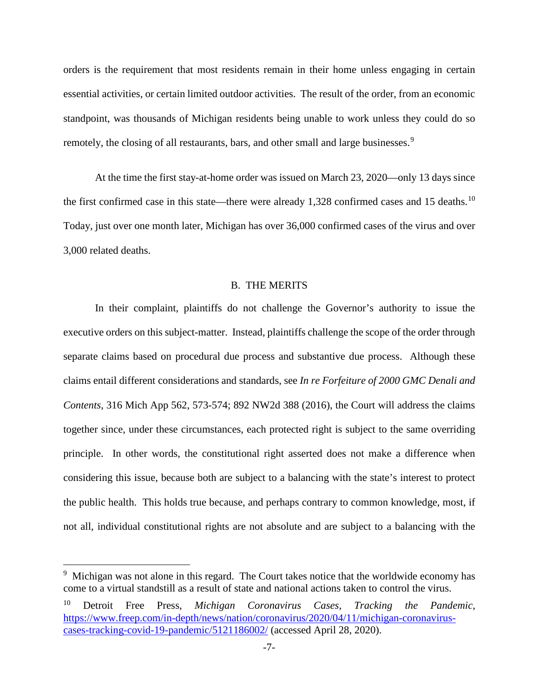orders is the requirement that most residents remain in their home unless engaging in certain essential activities, or certain limited outdoor activities. The result of the order, from an economic standpoint, was thousands of Michigan residents being unable to work unless they could do so remotely, the closing of all restaurants, bars, and other small and large businesses.<sup>[9](#page-6-0)</sup>

At the time the first stay-at-home order was issued on March 23, 2020—only 13 days since the first confirmed case in this state—there were already 1,328 confirmed cases and 15 deaths.<sup>[10](#page-6-1)</sup> Today, just over one month later, Michigan has over 36,000 confirmed cases of the virus and over 3,000 related deaths.

#### B. THE MERITS

In their complaint, plaintiffs do not challenge the Governor's authority to issue the executive orders on this subject-matter. Instead, plaintiffs challenge the scope of the order through separate claims based on procedural due process and substantive due process. Although these claims entail different considerations and standards, see *In re Forfeiture of 2000 GMC Denali and Contents*, 316 Mich App 562, 573-574; 892 NW2d 388 (2016), the Court will address the claims together since, under these circumstances, each protected right is subject to the same overriding principle. In other words, the constitutional right asserted does not make a difference when considering this issue, because both are subject to a balancing with the state's interest to protect the public health. This holds true because, and perhaps contrary to common knowledge, most, if not all, individual constitutional rights are not absolute and are subject to a balancing with the

<span id="page-6-0"></span><sup>-&</sup>lt;br>9  $9\text{ }$  Michigan was not alone in this regard. The Court takes notice that the worldwide economy has come to a virtual standstill as a result of state and national actions taken to control the virus.

<span id="page-6-1"></span><sup>10</sup> Detroit Free Press, *Michigan Coronavirus Cases, Tracking the Pandemic*, [https://www.freep.com/in-depth/news/nation/coronavirus/2020/04/11/michigan-coronavirus](https://www.freep.com/in-depth/news/nation/coronavirus/2020/04/11/michigan-coronavirus-cases-tracking-covid-19-pandemic/5121186002/)[cases-tracking-covid-19-pandemic/5121186002/](https://www.freep.com/in-depth/news/nation/coronavirus/2020/04/11/michigan-coronavirus-cases-tracking-covid-19-pandemic/5121186002/) (accessed April 28, 2020).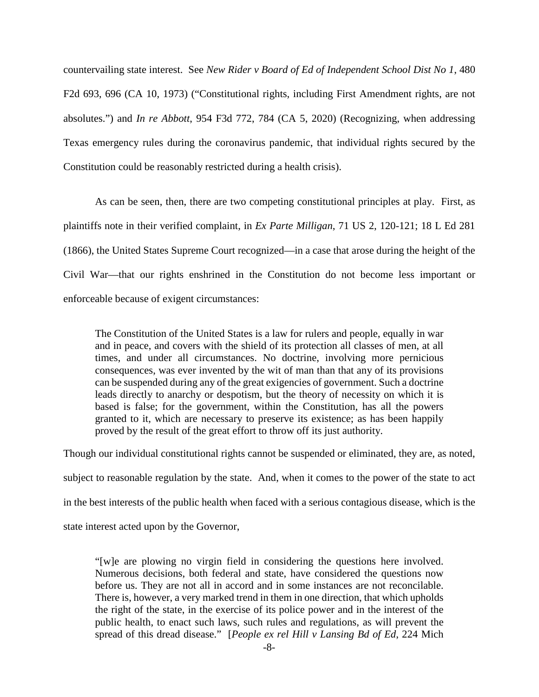countervailing state interest. See *New Rider v Board of Ed of Independent School Dist No 1*, 480 F2d 693, 696 (CA 10, 1973) ("Constitutional rights, including First Amendment rights, are not absolutes.") and *In re Abbott*, 954 F3d 772, 784 (CA 5, 2020) (Recognizing, when addressing Texas emergency rules during the coronavirus pandemic, that individual rights secured by the Constitution could be reasonably restricted during a health crisis).

As can be seen, then, there are two competing constitutional principles at play. First, as plaintiffs note in their verified complaint, in *Ex Parte Milligan*, 71 US 2, 120-121; 18 L Ed 281 (1866), the United States Supreme Court recognized—in a case that arose during the height of the Civil War—that our rights enshrined in the Constitution do not become less important or enforceable because of exigent circumstances:

The Constitution of the United States is a law for rulers and people, equally in war and in peace, and covers with the shield of its protection all classes of men, at all times, and under all circumstances. No doctrine, involving more pernicious consequences, was ever invented by the wit of man than that any of its provisions can be suspended during any of the great exigencies of government. Such a doctrine leads directly to anarchy or despotism, but the theory of necessity on which it is based is false; for the government, within the Constitution, has all the powers granted to it, which are necessary to preserve its existence; as has been happily proved by the result of the great effort to throw off its just authority.

Though our individual constitutional rights cannot be suspended or eliminated, they are, as noted,

subject to reasonable regulation by the state. And, when it comes to the power of the state to act

in the best interests of the public health when faced with a serious contagious disease, which is the

state interest acted upon by the Governor,

"[w]e are plowing no virgin field in considering the questions here involved. Numerous decisions, both federal and state, have considered the questions now before us. They are not all in accord and in some instances are not reconcilable. There is, however, a very marked trend in them in one direction, that which upholds the right of the state, in the exercise of its police power and in the interest of the public health, to enact such laws, such rules and regulations, as will prevent the spread of this dread disease." [*People ex rel Hill v Lansing Bd of Ed*, 224 Mich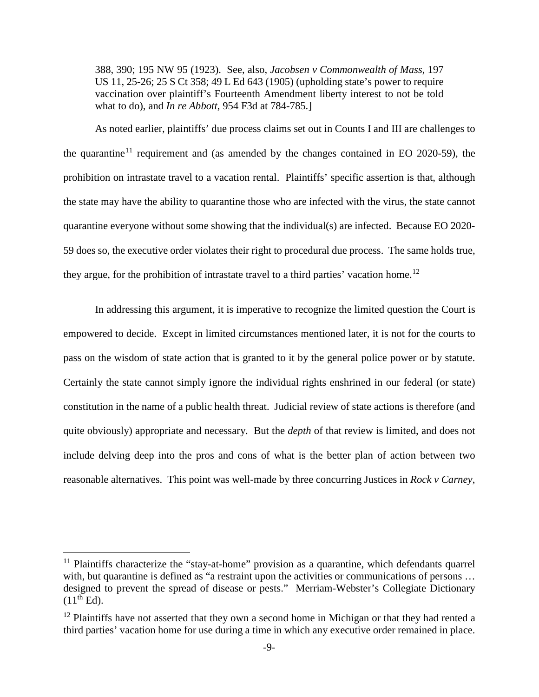388, 390; 195 NW 95 (1923). See, also, *Jacobsen v Commonwealth of Mass*, 197 US 11, 25-26; 25 S Ct 358; 49 L Ed 643 (1905) (upholding state's power to require vaccination over plaintiff's Fourteenth Amendment liberty interest to not be told what to do), and *In re Abbott*, 954 F3d at 784-785.]

As noted earlier, plaintiffs' due process claims set out in Counts I and III are challenges to the quarantine<sup>[11](#page-8-0)</sup> requirement and (as amended by the changes contained in EO 2020-59), the prohibition on intrastate travel to a vacation rental. Plaintiffs' specific assertion is that, although the state may have the ability to quarantine those who are infected with the virus, the state cannot quarantine everyone without some showing that the individual(s) are infected. Because EO 2020- 59 does so, the executive order violates their right to procedural due process. The same holds true, they argue, for the prohibition of intrastate travel to a third parties' vacation home.<sup>[12](#page-8-1)</sup>

In addressing this argument, it is imperative to recognize the limited question the Court is empowered to decide. Except in limited circumstances mentioned later, it is not for the courts to pass on the wisdom of state action that is granted to it by the general police power or by statute. Certainly the state cannot simply ignore the individual rights enshrined in our federal (or state) constitution in the name of a public health threat. Judicial review of state actions is therefore (and quite obviously) appropriate and necessary. But the *depth* of that review is limited, and does not include delving deep into the pros and cons of what is the better plan of action between two reasonable alternatives. This point was well-made by three concurring Justices in *Rock v Carney*,

<span id="page-8-0"></span><sup>&</sup>lt;sup>11</sup> Plaintiffs characterize the "stay-at-home" provision as a quarantine, which defendants quarrel with, but quarantine is defined as "a restraint upon the activities or communications of persons ... designed to prevent the spread of disease or pests." Merriam-Webster's Collegiate Dictionary  $(11<sup>th</sup> Ed).$ 

<span id="page-8-1"></span> $12$  Plaintiffs have not asserted that they own a second home in Michigan or that they had rented a third parties' vacation home for use during a time in which any executive order remained in place.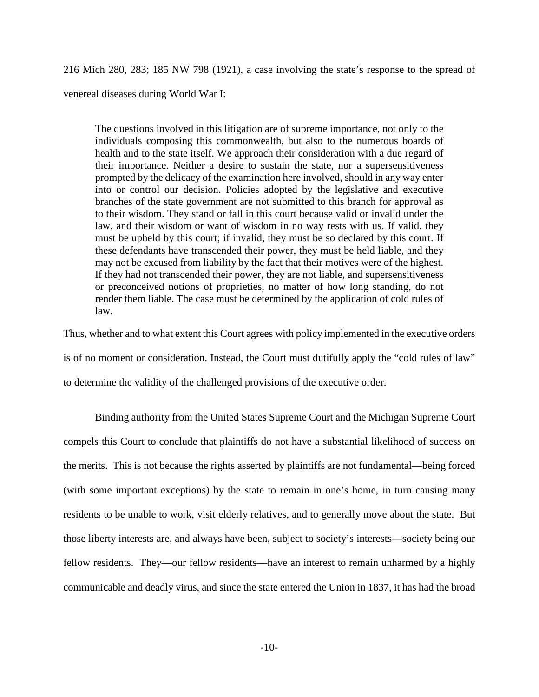216 Mich 280, 283; 185 NW 798 (1921), a case involving the state's response to the spread of venereal diseases during World War I:

The questions involved in this litigation are of supreme importance, not only to the individuals composing this commonwealth, but also to the numerous boards of health and to the state itself. We approach their consideration with a due regard of their importance. Neither a desire to sustain the state, nor a supersensitiveness prompted by the delicacy of the examination here involved, should in any way enter into or control our decision. Policies adopted by the legislative and executive branches of the state government are not submitted to this branch for approval as to their wisdom. They stand or fall in this court because valid or invalid under the law, and their wisdom or want of wisdom in no way rests with us. If valid, they must be upheld by this court; if invalid, they must be so declared by this court. If these defendants have transcended their power, they must be held liable, and they may not be excused from liability by the fact that their motives were of the highest. If they had not transcended their power, they are not liable, and supersensitiveness or preconceived notions of proprieties, no matter of how long standing, do not render them liable. The case must be determined by the application of cold rules of law.

Thus, whether and to what extent this Court agrees with policy implemented in the executive orders is of no moment or consideration. Instead, the Court must dutifully apply the "cold rules of law" to determine the validity of the challenged provisions of the executive order.

Binding authority from the United States Supreme Court and the Michigan Supreme Court compels this Court to conclude that plaintiffs do not have a substantial likelihood of success on the merits. This is not because the rights asserted by plaintiffs are not fundamental—being forced (with some important exceptions) by the state to remain in one's home, in turn causing many residents to be unable to work, visit elderly relatives, and to generally move about the state. But those liberty interests are, and always have been, subject to society's interests—society being our fellow residents. They—our fellow residents—have an interest to remain unharmed by a highly communicable and deadly virus, and since the state entered the Union in 1837, it has had the broad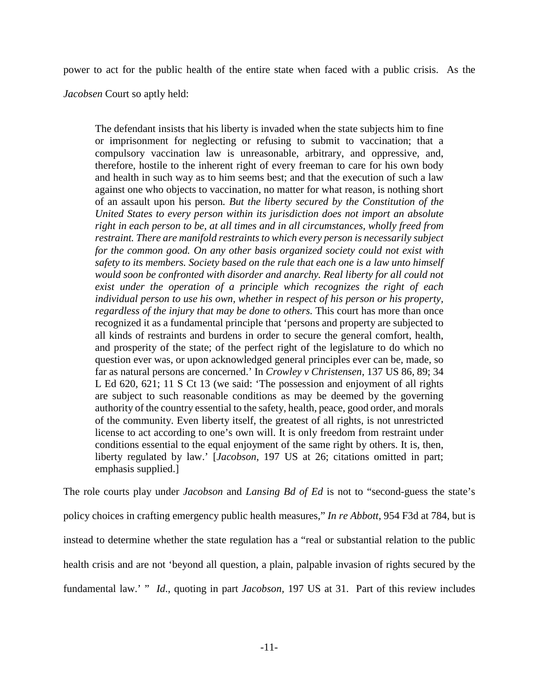power to act for the public health of the entire state when faced with a public crisis. As the

*Jacobsen* Court so aptly held:

The defendant insists that his liberty is invaded when the state subjects him to fine or imprisonment for neglecting or refusing to submit to vaccination; that a compulsory vaccination law is unreasonable, arbitrary, and oppressive, and, therefore, hostile to the inherent right of every freeman to care for his own body and health in such way as to him seems best; and that the execution of such a law against one who objects to vaccination, no matter for what reason, is nothing short of an assault upon his person*. But the liberty secured by the Constitution of the United States to every person within its jurisdiction does not import an absolute right in each person to be, at all times and in all circumstances, wholly freed from restraint. There are manifold restraints to which every person is necessarily subject for the common good. On any other basis organized society could not exist with safety to its members. Society based on the rule that each one is a law unto himself*  would soon be confronted with disorder and anarchy. Real liberty for all could not *exist under the operation of a principle which recognizes the right of each individual person to use his own, whether in respect of his person or his property, regardless of the injury that may be done to others.* This court has more than once recognized it as a fundamental principle that 'persons and property are subjected to all kinds of restraints and burdens in order to secure the general comfort, health, and prosperity of the state; of the perfect right of the legislature to do which no question ever was, or upon acknowledged general principles ever can be, made, so far as natural persons are concerned.' In *Crowley v Christensen*, 137 US 86, 89; 34 L Ed 620, 621; 11 S Ct 13 (we said: 'The possession and enjoyment of all rights are subject to such reasonable conditions as may be deemed by the governing authority of the country essential to the safety, health, peace, good order, and morals of the community. Even liberty itself, the greatest of all rights, is not unrestricted license to act according to one's own will. It is only freedom from restraint under conditions essential to the equal enjoyment of the same right by others. It is, then, liberty regulated by law.' [*Jacobson*, 197 US at 26; citations omitted in part; emphasis supplied.]

The role courts play under *Jacobson* and *Lansing Bd of Ed* is not to "second-guess the state's policy choices in crafting emergency public health measures," *In re Abbott*, 954 F3d at 784, but is instead to determine whether the state regulation has a "real or substantial relation to the public health crisis and are not 'beyond all question, a plain, palpable invasion of rights secured by the fundamental law.' " *Id*., quoting in part *Jacobson,* 197 US at 31. Part of this review includes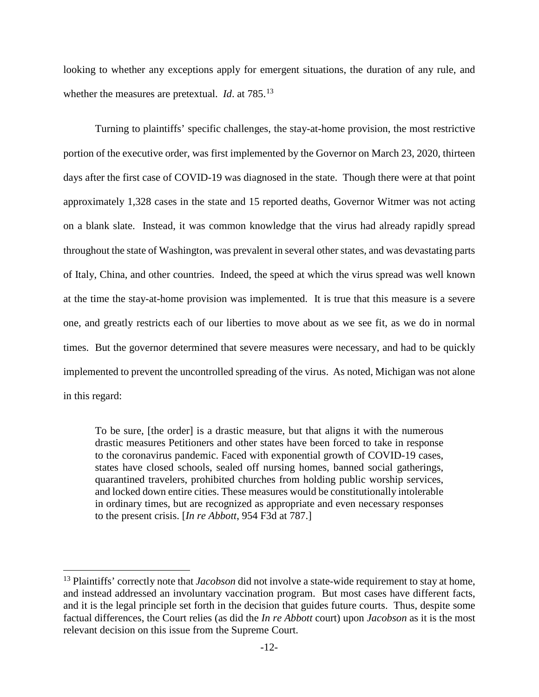looking to whether any exceptions apply for emergent situations, the duration of any rule, and whether the measures are pretextual. *Id.* at 785.<sup>[13](#page-11-0)</sup>

Turning to plaintiffs' specific challenges, the stay-at-home provision, the most restrictive portion of the executive order, was first implemented by the Governor on March 23, 2020, thirteen days after the first case of COVID-19 was diagnosed in the state. Though there were at that point approximately 1,328 cases in the state and 15 reported deaths, Governor Witmer was not acting on a blank slate. Instead, it was common knowledge that the virus had already rapidly spread throughout the state of Washington, was prevalent in several other states, and was devastating parts of Italy, China, and other countries. Indeed, the speed at which the virus spread was well known at the time the stay-at-home provision was implemented. It is true that this measure is a severe one, and greatly restricts each of our liberties to move about as we see fit, as we do in normal times. But the governor determined that severe measures were necessary, and had to be quickly implemented to prevent the uncontrolled spreading of the virus. As noted, Michigan was not alone in this regard:

To be sure, [the order] is a drastic measure, but that aligns it with the numerous drastic measures Petitioners and other states have been forced to take in response to the coronavirus pandemic. Faced with exponential growth of COVID-19 cases, states have closed schools, sealed off nursing homes, banned social gatherings, quarantined travelers, prohibited churches from holding public worship services, and locked down entire cities. These measures would be constitutionally intolerable in ordinary times, but are recognized as appropriate and even necessary responses to the present crisis. [*In re Abbott*, 954 F3d at 787.]

<span id="page-11-0"></span> <sup>13</sup> Plaintiffs' correctly note that *Jacobson* did not involve a state-wide requirement to stay at home, and instead addressed an involuntary vaccination program. But most cases have different facts, and it is the legal principle set forth in the decision that guides future courts. Thus, despite some factual differences, the Court relies (as did the *In re Abbott* court) upon *Jacobson* as it is the most relevant decision on this issue from the Supreme Court.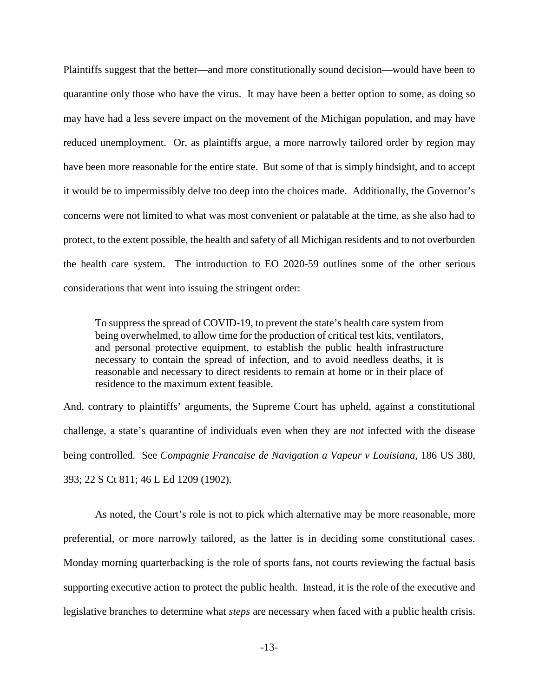Plaintiffs suggest that the better—and more constitutionally sound decision—would have been to quarantine only those who have the virus. It may have been a better option to some, as doing so may have had a less severe impact on the movement of the Michigan population, and may have reduced unemployment. Or, as plaintiffs argue, a more narrowly tailored order by region may have been more reasonable for the entire state. But some of that is simply hindsight, and to accept it would be to impermissibly delve too deep into the choices made. Additionally, the Governor's concerns were not limited to what was most convenient or palatable at the time, as she also had to protect, to the extent possible, the health and safety of all Michigan residents and to not overburden the health care system. The introduction to EO 2020-59 outlines some of the other serious considerations that went into issuing the stringent order:

To suppress the spread of COVID-19, to prevent the state's health care system from being overwhelmed, to allow time for the production of critical test kits, ventilators, and personal protective equipment, to establish the public health infrastructure necessary to contain the spread of infection, and to avoid needless deaths, it is reasonable and necessary to direct residents to remain at home or in their place of residence to the maximum extent feasible.

And, contrary to plaintiffs' arguments, the Supreme Court has upheld, against a constitutional challenge, a state's quarantine of individuals even when they are *not* infected with the disease being controlled. See *Compagnie Francaise de Navigation a Vapeur v Louisiana*, 186 US 380, 393; 22 S Ct 811; 46 L Ed 1209 (1902).

As noted, the Court's role is not to pick which alternative may be more reasonable, more preferential, or more narrowly tailored, as the latter is in deciding some constitutional cases. Monday morning quarterbacking is the role of sports fans, not courts reviewing the factual basis supporting executive action to protect the public health. Instead, it is the role of the executive and legislative branches to determine what *steps* are necessary when faced with a public health crisis.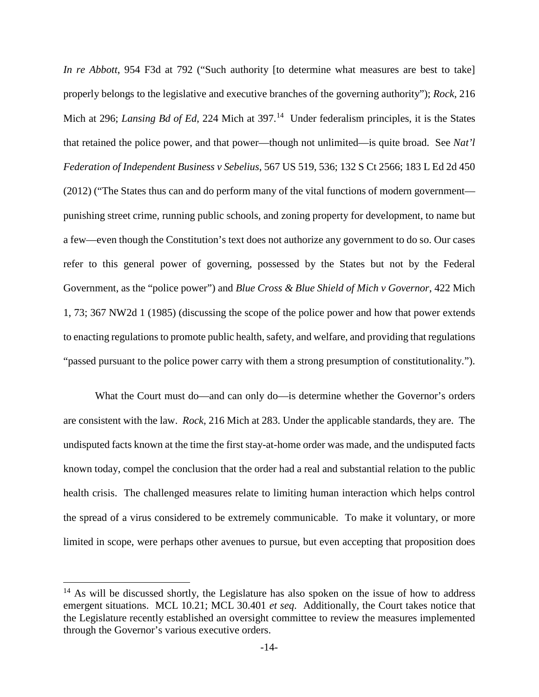*In re Abbott*, 954 F3d at 792 ("Such authority [to determine what measures are best to take] properly belongs to the legislative and executive branches of the governing authority"); *Rock*, 216 Mich at 296; *Lansing Bd of Ed*, 224 Mich at 397.<sup>14</sup> Under federalism principles, it is the States that retained the police power, and that power—though not unlimited—is quite broad. See *Nat'l Federation of Independent Business v Sebelius*, 567 US 519, 536; 132 S Ct 2566; 183 L Ed 2d 450 (2012) ("The States thus can and do perform many of the vital functions of modern government punishing street crime, running public schools, and zoning property for development, to name but a few—even though the Constitution's text does not authorize any government to do so. Our cases refer to this general power of governing, possessed by the States but not by the Federal Government, as the "police power") and *Blue Cross & Blue Shield of Mich v Governor*, 422 Mich 1, 73; 367 NW2d 1 (1985) (discussing the scope of the police power and how that power extends to enacting regulations to promote public health, safety, and welfare, and providing that regulations "passed pursuant to the police power carry with them a strong presumption of constitutionality.").

What the Court must do—and can only do—is determine whether the Governor's orders are consistent with the law. *Rock*, 216 Mich at 283. Under the applicable standards, they are. The undisputed facts known at the time the first stay-at-home order was made, and the undisputed facts known today, compel the conclusion that the order had a real and substantial relation to the public health crisis. The challenged measures relate to limiting human interaction which helps control the spread of a virus considered to be extremely communicable. To make it voluntary, or more limited in scope, were perhaps other avenues to pursue, but even accepting that proposition does

<span id="page-13-0"></span><sup>&</sup>lt;sup>14</sup> As will be discussed shortly, the Legislature has also spoken on the issue of how to address emergent situations. MCL 10.21; MCL 30.401 *et seq*. Additionally, the Court takes notice that the Legislature recently established an oversight committee to review the measures implemented through the Governor's various executive orders.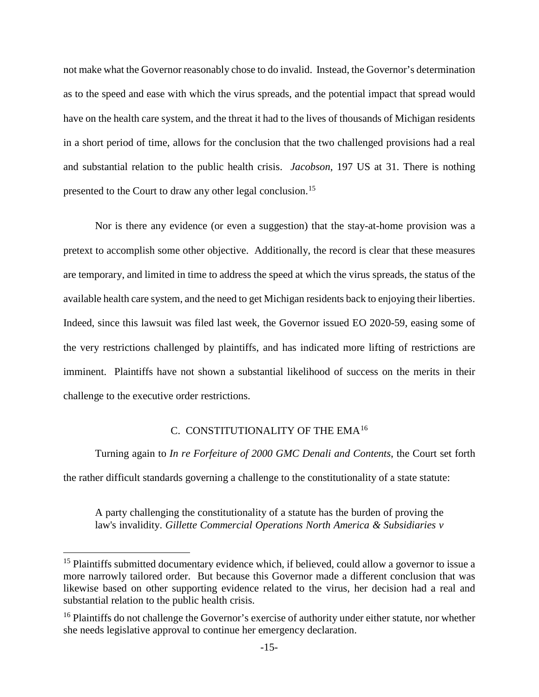not make what the Governor reasonably chose to do invalid. Instead, the Governor's determination as to the speed and ease with which the virus spreads, and the potential impact that spread would have on the health care system, and the threat it had to the lives of thousands of Michigan residents in a short period of time, allows for the conclusion that the two challenged provisions had a real and substantial relation to the public health crisis. *Jacobson*, 197 US at 31. There is nothing presented to the Court to draw any other legal conclusion.[15](#page-14-0) 

Nor is there any evidence (or even a suggestion) that the stay-at-home provision was a pretext to accomplish some other objective. Additionally, the record is clear that these measures are temporary, and limited in time to address the speed at which the virus spreads, the status of the available health care system, and the need to get Michigan residents back to enjoying their liberties. Indeed, since this lawsuit was filed last week, the Governor issued EO 2020-59, easing some of the very restrictions challenged by plaintiffs, and has indicated more lifting of restrictions are imminent. Plaintiffs have not shown a substantial likelihood of success on the merits in their challenge to the executive order restrictions.

## C. CONSTITUTIONALITY OF THE EMA[16](#page-14-1)

Turning again to *In re Forfeiture of 2000 GMC Denali and Contents*, the Court set forth the rather difficult standards governing a challenge to the constitutionality of a state statute:

A party challenging the constitutionality of a statute has the burden of proving the law's invalidity. *Gillette Commercial Operations North America & Subsidiaries v* 

<span id="page-14-0"></span><sup>&</sup>lt;sup>15</sup> Plaintiffs submitted documentary evidence which, if believed, could allow a governor to issue a more narrowly tailored order. But because this Governor made a different conclusion that was likewise based on other supporting evidence related to the virus, her decision had a real and substantial relation to the public health crisis.

<span id="page-14-1"></span><sup>&</sup>lt;sup>16</sup> Plaintiffs do not challenge the Governor's exercise of authority under either statute, nor whether she needs legislative approval to continue her emergency declaration.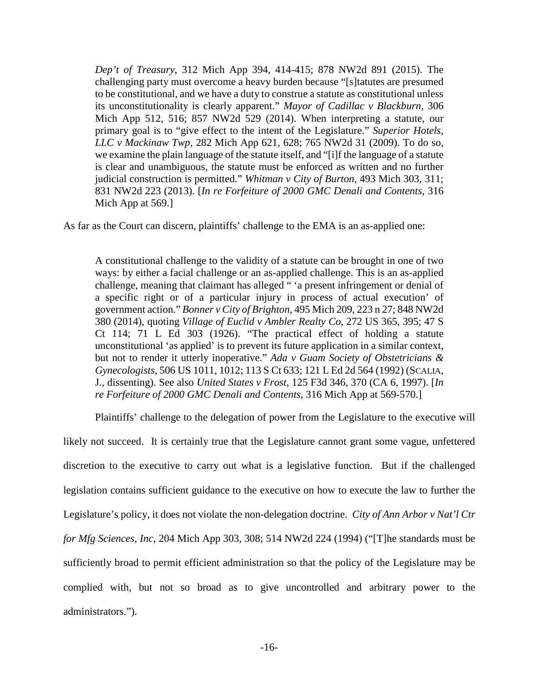*Dep't of Treasury*, 312 Mich App 394, 414-415; 878 NW2d 891 (2015). The challenging party must overcome a heavy burden because "[s]tatutes are presumed to be constitutional, and we have a duty to construe a statute as constitutional unless its unconstitutionality is clearly apparent." *Mayor of Cadillac v Blackburn*, 306 Mich App 512, 516; 857 NW2d 529 (2014). When interpreting a statute, our primary goal is to "give effect to the intent of the Legislature." *Superior Hotels, LLC v Mackinaw Twp*, 282 Mich App 621, 628; 765 NW2d 31 (2009). To do so, we examine the plain language of the statute itself, and "[i]f the language of a statute is clear and unambiguous, the statute must be enforced as written and no further judicial construction is permitted." *Whitman v City of Burton*, 493 Mich 303, 311; 831 NW2d 223 (2013). [*In re Forfeiture of 2000 GMC Denali and Contents*, 316 Mich App at 569.]

As far as the Court can discern, plaintiffs' challenge to the EMA is an as-applied one:

A constitutional challenge to the validity of a statute can be brought in one of two ways: by either a facial challenge or an as-applied challenge. This is an as-applied challenge, meaning that claimant has alleged " 'a present infringement or denial of a specific right or of a particular injury in process of actual execution' of government action." *Bonner v City of Brighton*, 495 Mich 209, 223 n 27; 848 NW2d 380 (2014), quoting *Village of Euclid v Ambler Realty Co*, 272 US 365, 395; 47 S Ct 114; 71 L Ed 303 (1926). "The practical effect of holding a statute unconstitutional 'as applied' is to prevent its future application in a similar context, but not to render it utterly inoperative." *Ada v Guam Society of Obstetricians & Gynecologists*, 506 US 1011, 1012; 113 S Ct 633; 121 L Ed 2d 564 (1992) (SCALIA, J., dissenting). See also *United States v Frost*, 125 F3d 346, 370 (CA 6, 1997). [*In re Forfeiture of 2000 GMC Denali and Contents*, 316 Mich App at 569-570.]

Plaintiffs' challenge to the delegation of power from the Legislature to the executive will

likely not succeed. It is certainly true that the Legislature cannot grant some vague, unfettered discretion to the executive to carry out what is a legislative function. But if the challenged legislation contains sufficient guidance to the executive on how to execute the law to further the Legislature's policy, it does not violate the non-delegation doctrine. *City of Ann Arbor v Nat'l Ctr for Mfg Sciences, Inc*, 204 Mich App 303, 308; 514 NW2d 224 (1994) ("[T]he standards must be sufficiently broad to permit efficient administration so that the policy of the Legislature may be complied with, but not so broad as to give uncontrolled and arbitrary power to the administrators.").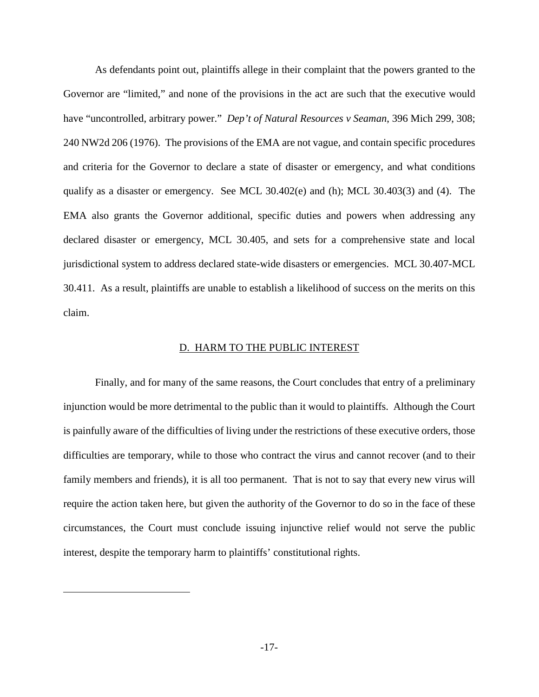As defendants point out, plaintiffs allege in their complaint that the powers granted to the Governor are "limited," and none of the provisions in the act are such that the executive would have "uncontrolled, arbitrary power." *Dep't of Natural Resources v Seaman*, 396 Mich 299, 308; 240 NW2d 206 (1976). The provisions of the EMA are not vague, and contain specific procedures and criteria for the Governor to declare a state of disaster or emergency, and what conditions qualify as a disaster or emergency. See MCL 30.402(e) and (h); MCL 30.403(3) and (4). The EMA also grants the Governor additional, specific duties and powers when addressing any declared disaster or emergency, MCL 30.405, and sets for a comprehensive state and local jurisdictional system to address declared state-wide disasters or emergencies. MCL 30.407-MCL 30.411. As a result, plaintiffs are unable to establish a likelihood of success on the merits on this claim.

#### D. HARM TO THE PUBLIC INTEREST

Finally, and for many of the same reasons, the Court concludes that entry of a preliminary injunction would be more detrimental to the public than it would to plaintiffs. Although the Court is painfully aware of the difficulties of living under the restrictions of these executive orders, those difficulties are temporary, while to those who contract the virus and cannot recover (and to their family members and friends), it is all too permanent. That is not to say that every new virus will require the action taken here, but given the authority of the Governor to do so in the face of these circumstances, the Court must conclude issuing injunctive relief would not serve the public interest, despite the temporary harm to plaintiffs' constitutional rights.